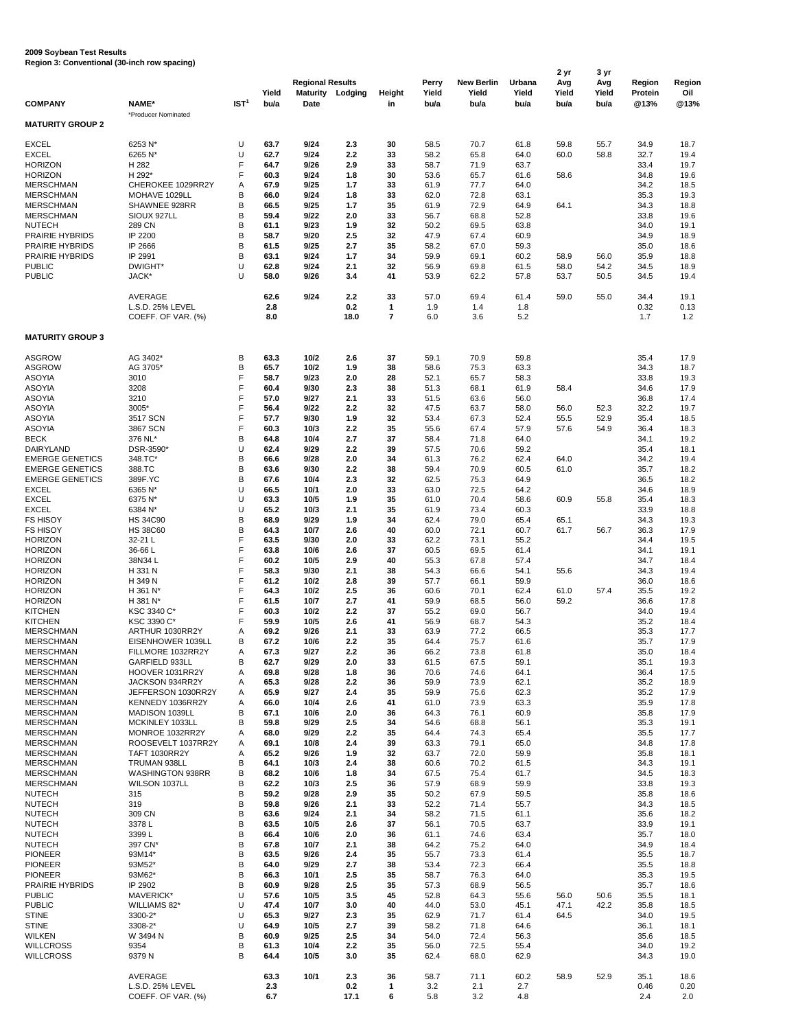## **2009 Soybean Test Results**

**Region 3: Conventional (30-inch row spacing)**

|                                                  |                                          |                    |               | <b>Regional Results</b>        |             |                     | Perry         | <b>New Berlin</b> | Urbana        | 2 yr<br>Avg   | 3 yr<br>Avg   | Region                 | <b>Region</b> |
|--------------------------------------------------|------------------------------------------|--------------------|---------------|--------------------------------|-------------|---------------------|---------------|-------------------|---------------|---------------|---------------|------------------------|---------------|
| <b>COMPANY</b>                                   | NAME*                                    | IST <sup>1</sup>   | Yield<br>bu/a | <b>Maturity</b><br><b>Date</b> | Lodging     | <b>Height</b><br>in | Yield<br>bu/a | Yield<br>bu/a     | Yield<br>bu/a | Yield<br>bu/a | Yield<br>bu/a | <b>Protein</b><br>@13% | Oil<br>@13%   |
| <b>MATURITY GROUP 2</b>                          | *Producer Nominated                      |                    |               |                                |             |                     |               |                   |               |               |               |                        |               |
| <b>EXCEL</b>                                     | 6253 N*                                  | U                  | 63.7          | 9/24                           | 2.3         | 30                  | 58.5          | 70.7              | 61.8          | 59.8          | 55.7          | 34.9                   | 18.7          |
| <b>EXCEL</b>                                     | 6265 N*                                  | U                  | 62.7          | 9/24                           | 2.2         | 33                  | 58.2          | 65.8              | 64.0          | 60.0          | 58.8          | 32.7                   | 19.4          |
| <b>HORIZON</b>                                   | H 282                                    | F                  | 64.7          | 9/26                           | 2.9         | 33                  | 58.7          | 71.9              | 63.7          |               |               | 33.4                   | 19.7          |
| <b>HORIZON</b>                                   | H 292*                                   | F                  | 60.3          | 9/24                           | 1.8         | 30                  | 53.6          | 65.7              | 61.6          | 58.6          |               | 34.8                   | 19.6          |
| <b>MERSCHMAN</b><br><b>MERSCHMAN</b>             | CHEROKEE 1029RR2Y<br>MOHAVE 1029LL       | A<br>B             | 67.9<br>66.0  | 9/25<br>9/24                   | 1.7<br>1.8  | 33<br>33            | 61.9<br>62.0  | 77.7<br>72.8      | 64.0<br>63.1  |               |               | 34.2<br>35.3           | 18.5<br>19.3  |
| <b>MERSCHMAN</b>                                 | SHAWNEE 928RR                            | $\sf B$            | 66.5          | 9/25                           | 1.7         | 35                  | 61.9          | 72.9              | 64.9          | 64.1          |               | 34.3                   | 18.8          |
| <b>MERSCHMAN</b>                                 | SIOUX 927LL                              | $\sf B$            | 59.4          | 9/22                           | 2.0         | 33                  | 56.7          | 68.8              | 52.8          |               |               | 33.8                   | 19.6          |
| <b>NUTECH</b>                                    | 289 CN                                   | $\sf B$            | 61.1          | 9/23                           | 1.9         | 32                  | 50.2          | 69.5              | 63.8          |               |               | 34.0                   | 19.1          |
| <b>PRAIRIE HYBRIDS</b><br><b>PRAIRIE HYBRIDS</b> | IP 2200<br>IP 2666                       | $\sf B$<br>B       | 58.7<br>61.5  | 9/20<br>9/25                   | 2.5<br>2.7  | 32<br>35            | 47.9<br>58.2  | 67.4<br>67.0      | 60.9<br>59.3  |               |               | 34.9<br>35.0           | 18.9<br>18.6  |
| <b>PRAIRIE HYBRIDS</b>                           | IP 2991                                  | $\sf B$            | 63.1          | 9/24                           | 1.7         | 34                  | 59.9          | 69.1              | 60.2          | 58.9          | 56.0          | 35.9                   | 18.8          |
| <b>PUBLIC</b>                                    | DWIGHT*                                  | U                  | 62.8          | 9/24                           | 2.1         | 32                  | 56.9          | 69.8              | 61.5          | 58.0          | 54.2          | 34.5                   | 18.9          |
| <b>PUBLIC</b>                                    | JACK*                                    | U                  | 58.0          | 9/26                           | 3.4         | 41                  | 53.9          | 62.2              | 57.8          | 53.7          | 50.5          | 34.5                   | 19.4          |
|                                                  | <b>AVERAGE</b>                           |                    | 62.6          | 9/24                           | 2.2         | 33                  | 57.0          | 69.4              | 61.4          | 59.0          | 55.0          | 34.4                   | 19.1          |
|                                                  | L.S.D. 25% LEVEL                         |                    | 2.8           |                                | 0.2         | $\mathbf 1$         | 1.9           | 1.4               | 1.8           |               |               | 0.32                   | 0.13          |
|                                                  | COEFF. OF VAR. (%)                       |                    | 8.0           |                                | 18.0        | $\overline{7}$      | 6.0           | 3.6               | 5.2           |               |               | 1.7                    | 1.2           |
| <b>MATURITY GROUP 3</b>                          |                                          |                    |               |                                |             |                     |               |                   |               |               |               |                        |               |
| <b>ASGROW</b>                                    | AG 3402*                                 | B                  | 63.3          | $10/2$                         | 2.6         | 37                  | 59.1          | 70.9              | 59.8          |               |               | 35.4                   | 17.9          |
| <b>ASGROW</b>                                    | AG 3705*                                 | B                  | 65.7          | 10/2                           | 1.9         | 38                  | 58.6          | 75.3              | 63.3          |               |               | 34.3                   | 18.7          |
| <b>ASOYIA</b>                                    | 3010                                     | F                  | 58.7          | 9/23                           | 2.0         | 28                  | 52.1          | 65.7              | 58.3          |               |               | 33.8                   | 19.3          |
| <b>ASOYIA</b><br><b>ASOYIA</b>                   | 3208<br>3210                             | $\mathsf F$<br>F   | 60.4<br>57.0  | 9/30<br>9/27                   | 2.3<br>2.1  | 38<br>33            | 51.3<br>51.5  | 68.1<br>63.6      | 61.9<br>56.0  | 58.4          |               | 34.6<br>36.8           | 17.9<br>17.4  |
| <b>ASOYIA</b>                                    | 3005*                                    | F                  | 56.4          | 9/22                           | 2.2         | 32                  | 47.5          | 63.7              | 58.0          | 56.0          | 52.3          | 32.2                   | 19.7          |
| <b>ASOYIA</b>                                    | 3517 SCN                                 | F                  | 57.7          | 9/30                           | 1.9         | 32                  | 53.4          | 67.3              | 52.4          | 55.5          | 52.9          | 35.4                   | 18.5          |
| <b>ASOYIA</b><br><b>BECK</b>                     | 3867 SCN<br>376 NL*                      | F<br>B             | 60.3<br>64.8  | 10/3<br>10/4                   | 2.2<br>2.7  | 35<br>37            | 55.6<br>58.4  | 67.4<br>71.8      | 57.9<br>64.0  | 57.6          | 54.9          | 36.4<br>34.1           | 18.3<br>19.2  |
| <b>DAIRYLAND</b>                                 | DSR-3590*                                | U                  | 62.4          | 9/29                           | 2.2         | 39                  | 57.5          | 70.6              | 59.2          |               |               | 35.4                   | 18.1          |
| <b>EMERGE GENETICS</b>                           | 348.TC*                                  | B                  | 66.6          | 9/28                           | 2.0         | 34                  | 61.3          | 76.2              | 62.4          | 64.0          |               | 34.2                   | 19.4          |
| <b>EMERGE GENETICS</b>                           | 388.TC                                   | B                  | 63.6          | 9/30                           | 2.2         | 38                  | 59.4          | 70.9              | 60.5          | 61.0          |               | 35.7                   | 18.2          |
| <b>EMERGE GENETICS</b><br><b>EXCEL</b>           | 389F.YC<br>6365 N*                       | B<br>U             | 67.6<br>66.5  | 10/4<br>10/1                   | 2.3<br>2.0  | 32<br>33            | 62.5<br>63.0  | 75.3<br>72.5      | 64.9<br>64.2  |               |               | 36.5<br>34.6           | 18.2<br>18.9  |
| <b>EXCEL</b>                                     | 6375 N*                                  | U                  | 63.3          | 10/5                           | 1.9         | 35                  | 61.0          | 70.4              | 58.6          | 60.9          | 55.8          | 35.4                   | 18.3          |
| <b>EXCEL</b>                                     | 6384 N*                                  | U                  | 65.2          | 10/3                           | 2.1         | 35                  | 61.9          | 73.4              | 60.3          |               |               | 33.9                   | 18.8          |
| <b>FS HISOY</b>                                  | <b>HS 34C90</b>                          | B                  | 68.9          | 9/29                           | 1.9         | 34                  | 62.4          | 79.0              | 65.4          | 65.1          |               | 34.3                   | 19.3          |
| <b>FS HISOY</b><br><b>HORIZON</b>                | <b>HS 38C60</b><br>32-21 L               | B<br>F             | 64.3<br>63.5  | 10/7<br>9/30                   | 2.6<br>2.0  | 40<br>33            | 60.0<br>62.2  | 72.1<br>73.1      | 60.7<br>55.2  | 61.7          | 56.7          | 36.3<br>34.4           | 17.9<br>19.5  |
| <b>HORIZON</b>                                   | 36-66L                                   |                    | 63.8          | 10/6                           | 2.6         | 37                  | 60.5          | 69.5              | 61.4          |               |               | 34.1                   | 19.1          |
| <b>HORIZON</b>                                   | 38N34L                                   | F                  | 60.2          | 10/5                           | 2.9         | 40                  | 55.3          | 67.8              | 57.4          |               |               | 34.7                   | 18.4          |
| <b>HORIZON</b>                                   | H 331 N                                  | F<br>F             | 58.3          | 9/30                           | 2.1         | 38                  | 54.3          | 66.6              | 54.1          | 55.6          |               | 34.3                   | 19.4          |
| <b>HORIZON</b><br><b>HORIZON</b>                 | H 349 N<br>H 361 N*                      | F                  | 61.2<br>64.3  | 10/2<br>$10/2$                 | 2.8<br>2.5  | 39<br>36            | 57.7<br>60.6  | 66.1<br>70.1      | 59.9<br>62.4  | 61.0          | 57.4          | 36.0<br>35.5           | 18.6<br>19.2  |
| <b>HORIZON</b>                                   | H 381 N*                                 | F                  | 61.5          | 10/7                           | 2.7         | 41                  | 59.9          | 68.5              | 56.0          | 59.2          |               | 36.6                   | 17.8          |
| <b>KITCHEN</b>                                   | KSC 3340 C*                              |                    | 60.3          | $10/2$                         | 2.2         | 37                  | 55.2          | 69.0              | 56.7          |               |               | 34.0                   | 19.4          |
| <b>KITCHEN</b><br><b>MERSCHMAN</b>               | KSC 3390 C*                              | F                  | 59.9          | 10/5                           | 2.6         | 41                  | 56.9          | 68.7              | 54.3          |               |               | 35.2                   | 18.4          |
| <b>MERSCHMAN</b>                                 | ARTHUR 1030RR2Y<br>EISENHOWER 1039LL     | A<br>B             | 69.2<br>67.2  | 9/26<br>10/6                   | 2.1<br>2.2  | 33<br>35            | 63.9<br>64.4  | 77.2<br>75.7      | 66.5<br>61.6  |               |               | 35.3<br>35.7           | 17.7<br>17.9  |
| <b>MERSCHMAN</b>                                 | FILLMORE 1032RR2Y                        | A                  | 67.3          | 9/27                           | 2.2         | 36                  | 66.2          | 73.8              | 61.8          |               |               | 35.0                   | 18.4          |
| <b>MERSCHMAN</b>                                 | GARFIELD 933LL                           | B                  | 62.7          | 9/29                           | 2.0         | 33                  | 61.5          | 67.5              | 59.1          |               |               | 35.1                   | 19.3          |
| <b>MERSCHMAN</b><br><b>MERSCHMAN</b>             | HOOVER 1031RR2Y<br>JACKSON 934RR2Y       | A<br>Α             | 69.8<br>65.3  | 9/28<br>9/28                   | 1.8<br>2.2  | 36<br>36            | 70.6<br>59.9  | 74.6<br>73.9      | 64.1<br>62.1  |               |               | 36.4<br>35.2           | 17.5<br>18.9  |
| <b>MERSCHMAN</b>                                 | JEFFERSON 1030RR2Y                       | Α                  | 65.9          | 9/27                           | 2.4         | 35                  | 59.9          | 75.6              | 62.3          |               |               | 35.2                   | 17.9          |
| <b>MERSCHMAN</b>                                 | KENNEDY 1036RR2Y                         | A                  | 66.0          | 10/4                           | 2.6         | 41                  | 61.0          | 73.9              | 63.3          |               |               | 35.9                   | 17.8          |
| <b>MERSCHMAN</b>                                 | MADISON 1039LL                           | В                  | 67.1          | 10/6                           | 2.0         | 36                  | 64.3          | 76.1              | 60.9          |               |               | 35.8                   | 17.9          |
| <b>MERSCHMAN</b><br><b>MERSCHMAN</b>             | MCKINLEY 1033LL<br>MONROE 1032RR2Y       | В<br>A             | 59.8<br>68.0  | 9/29<br>9/29                   | 2.5<br>2.2  | 34<br>35            | 54.6<br>64.4  | 68.8<br>74.3      | 56.1<br>65.4  |               |               | 35.3<br>35.5           | 19.1<br>17.7  |
| <b>MERSCHMAN</b>                                 | ROOSEVELT 1037RR2Y                       | A                  | 69.1          | 10/8                           | 2.4         | 39                  | 63.3          | 79.1              | 65.0          |               |               | 34.8                   | 17.8          |
| <b>MERSCHMAN</b>                                 | <b>TAFT 1030RR2Y</b>                     | A                  | 65.2          | 9/26                           | 1.9         | 32                  | 63.7          | 72.0              | 59.9          |               |               | 35.8                   | 18.1          |
| <b>MERSCHMAN</b>                                 | TRUMAN 938LL                             | В                  | 64.1          | 10/3                           | 2.4         | 38                  | 60.6          | 70.2              | 61.5          |               |               | 34.3                   | 19.1          |
| <b>MERSCHMAN</b><br><b>MERSCHMAN</b>             | <b>WASHINGTON 938RR</b><br>WILSON 1037LL | B<br>B             | 68.2<br>62.2  | 10/6<br>10/3                   | 1.8<br>2.5  | 34<br>36            | 67.5<br>57.9  | 75.4<br>68.9      | 61.7<br>59.9  |               |               | 34.5<br>33.8           | 18.3<br>19.3  |
| <b>NUTECH</b>                                    | 315                                      | $\sf B$            | 59.2          | 9/28                           | 2.9         | 35                  | 50.2          | 67.9              | 59.5          |               |               | 35.8                   | 18.6          |
| <b>NUTECH</b>                                    | 319                                      | B                  | 59.8          | 9/26                           | 2.1         | 33                  | 52.2          | 71.4              | 55.7          |               |               | 34.3                   | 18.5          |
| <b>NUTECH</b>                                    | 309 CN                                   | B                  | 63.6          | 9/24                           | 2.1         | 34                  | 58.2          | 71.5              | 61.1          |               |               | 35.6                   | 18.2          |
| <b>NUTECH</b><br><b>NUTECH</b>                   | 3378L<br>3399L                           | $\sf B$<br>$\sf B$ | 63.5<br>66.4  | 10/5<br>10/6                   | 2.6<br>2.0  | 37<br>36            | 56.1<br>61.1  | 70.5<br>74.6      | 63.7<br>63.4  |               |               | 33.9<br>35.7           | 19.1<br>18.0  |
| <b>NUTECH</b>                                    | 397 CN*                                  | $\sf B$            | 67.8          | 10/7                           | 2.1         | 38                  | 64.2          | 75.2              | 64.0          |               |               | 34.9                   | 18.4          |
| <b>PIONEER</b>                                   | 93M14*                                   | $\sf B$            | 63.5          | 9/26                           | 2.4         | 35                  | 55.7          | 73.3              | 61.4          |               |               | 35.5                   | 18.7          |
| <b>PIONEER</b>                                   | 93M52*                                   | $\sf B$            | 64.0          | 9/29                           | 2.7         | 38                  | 53.4          | 72.3              | 66.4          |               |               | 35.5                   | 18.8          |
| <b>PIONEER</b><br><b>PRAIRIE HYBRIDS</b>         | 93M62*<br>IP 2902                        | $\sf B$<br>$\sf B$ | 66.3<br>60.9  | 10/1<br>9/28                   | 2.5<br>2.5  | 35<br>35            | 58.7<br>57.3  | 76.3<br>68.9      | 64.0<br>56.5  |               |               | 35.3<br>35.7           | 19.5<br>18.6  |
| <b>PUBLIC</b>                                    | MAVERICK*                                | U                  | 57.6          | $10/5$                         | 3.5         | 45                  | 52.8          | 64.3              | 55.6          | 56.0          | 50.6          | 35.5                   | 18.1          |
| <b>PUBLIC</b>                                    | WILLIAMS 82*                             | U                  | 47.4          | 10/7                           | 3.0         | 40                  | 44.0          | 53.0              | 45.1          | 47.1          | 42.2          | 35.8                   | 18.5          |
| <b>STINE</b>                                     | 3300-2*                                  | U                  | 65.3          | 9/27                           | 2.3         | 35                  | 62.9          | 71.7              | 61.4          | 64.5          |               | 34.0                   | 19.5          |
| <b>STINE</b><br><b>WILKEN</b>                    | 3308-2*<br>W 3494 N                      | U<br>B             | 64.9<br>60.9  | $10/5$<br>9/25                 | 2.7<br>2.5  | 39<br>34            | 58.2<br>54.0  | 71.8<br>72.4      | 64.6<br>56.3  |               |               | 36.1<br>35.6           | 18.1<br>18.5  |
| <b>WILLCROSS</b>                                 | 9354                                     | $\sf B$            | 61.3          | 10/4                           | 2.2         | 35                  | 56.0          | 72.5              | 55.4          |               |               | 34.0                   | 19.2          |
| <b>WILLCROSS</b>                                 | 9379N                                    | B                  | 64.4          | $10/5$                         | 3.0         | 35                  | 62.4          | 68.0              | 62.9          |               |               | 34.3                   | 19.0          |
|                                                  | <b>AVERAGE</b>                           |                    | 63.3          | $10/1$                         | 2.3         | 36                  | 58.7          | 71.1              | 60.2          | 58.9          | 52.9          | 35.1                   | 18.6          |
|                                                  | L.S.D. 25% LEVEL<br>COEFF. OF VAR. (%)   |                    | 2.3<br>6.7    |                                | 0.2<br>17.1 | 1<br>$\bf 6$        | 3.2<br>5.8    | 2.1<br>3.2        | 2.7<br>4.8    |               |               | 0.46<br>2.4            | 0.20<br>2.0   |
|                                                  |                                          |                    |               |                                |             |                     |               |                   |               |               |               |                        |               |